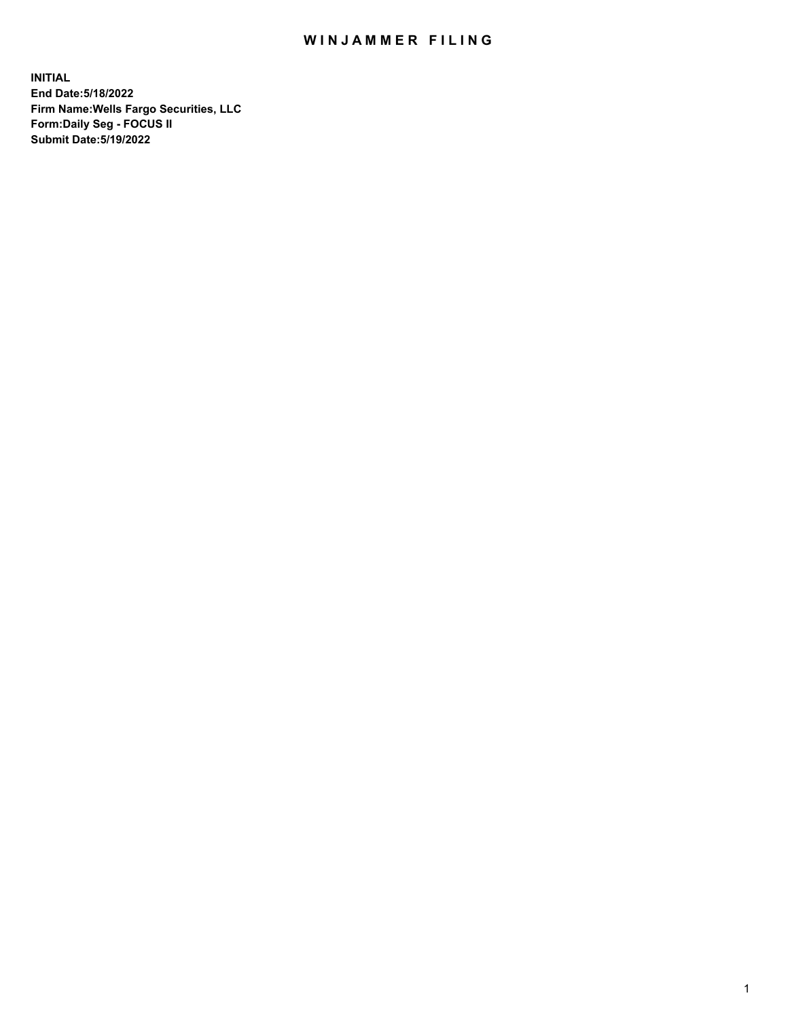## WIN JAMMER FILING

**INITIAL End Date:5/18/2022 Firm Name:Wells Fargo Securities, LLC Form:Daily Seg - FOCUS II Submit Date:5/19/2022**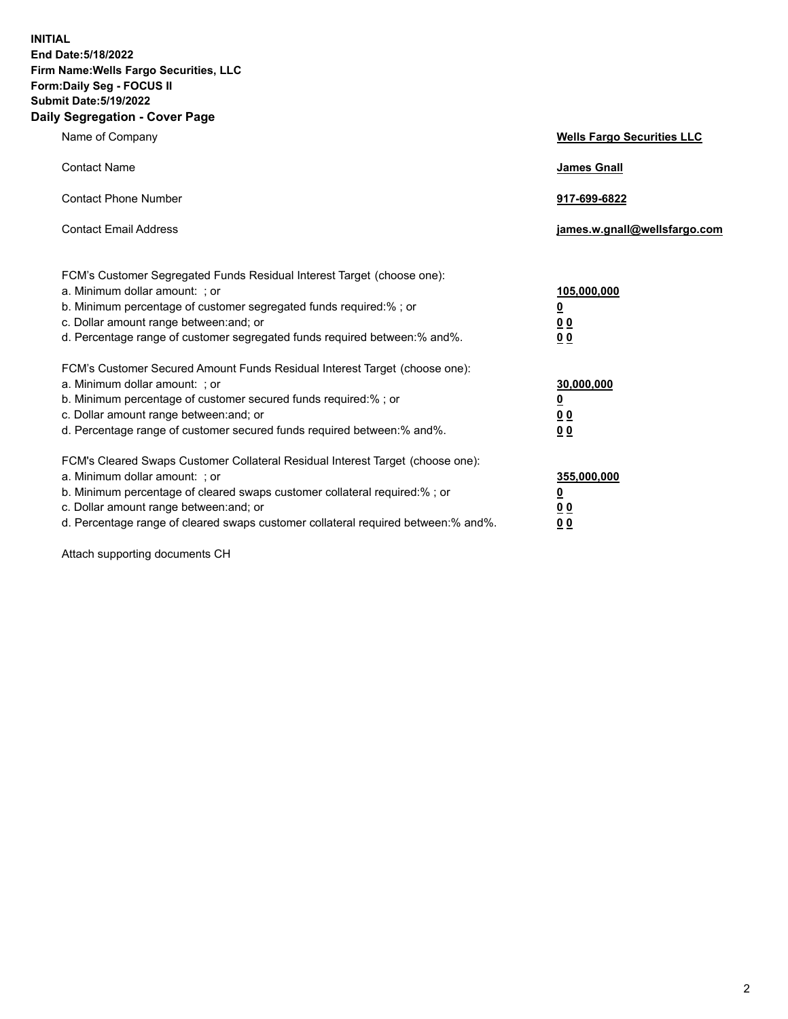**INITIAL End Date:5/18/2022 Firm Name:Wells Fargo Securities, LLC Form:Daily Seg - FOCUS II Submit Date:5/19/2022 Daily Segregation - Cover Page**

| Name of Company                                                                                                                                                                                                                                                                                                                | <b>Wells Fargo Securities LLC</b>                          |
|--------------------------------------------------------------------------------------------------------------------------------------------------------------------------------------------------------------------------------------------------------------------------------------------------------------------------------|------------------------------------------------------------|
| <b>Contact Name</b>                                                                                                                                                                                                                                                                                                            | <b>James Gnall</b>                                         |
| <b>Contact Phone Number</b>                                                                                                                                                                                                                                                                                                    | 917-699-6822                                               |
| <b>Contact Email Address</b>                                                                                                                                                                                                                                                                                                   | james.w.gnall@wellsfargo.com                               |
| FCM's Customer Segregated Funds Residual Interest Target (choose one):<br>a. Minimum dollar amount: ; or<br>b. Minimum percentage of customer segregated funds required:% ; or<br>c. Dollar amount range between: and; or<br>d. Percentage range of customer segregated funds required between:% and%.                         | 105,000,000<br><u>0</u><br>0 <sub>0</sub><br>00            |
| FCM's Customer Secured Amount Funds Residual Interest Target (choose one):<br>a. Minimum dollar amount: ; or<br>b. Minimum percentage of customer secured funds required:%; or<br>c. Dollar amount range between: and; or<br>d. Percentage range of customer secured funds required between:% and%.                            | 30,000,000<br><u>0</u><br>0 <sub>0</sub><br>0 <sub>0</sub> |
| FCM's Cleared Swaps Customer Collateral Residual Interest Target (choose one):<br>a. Minimum dollar amount: ; or<br>b. Minimum percentage of cleared swaps customer collateral required:% ; or<br>c. Dollar amount range between: and; or<br>d. Percentage range of cleared swaps customer collateral required between:% and%. | 355,000,000<br><u>0</u><br>00<br>00                        |

Attach supporting documents CH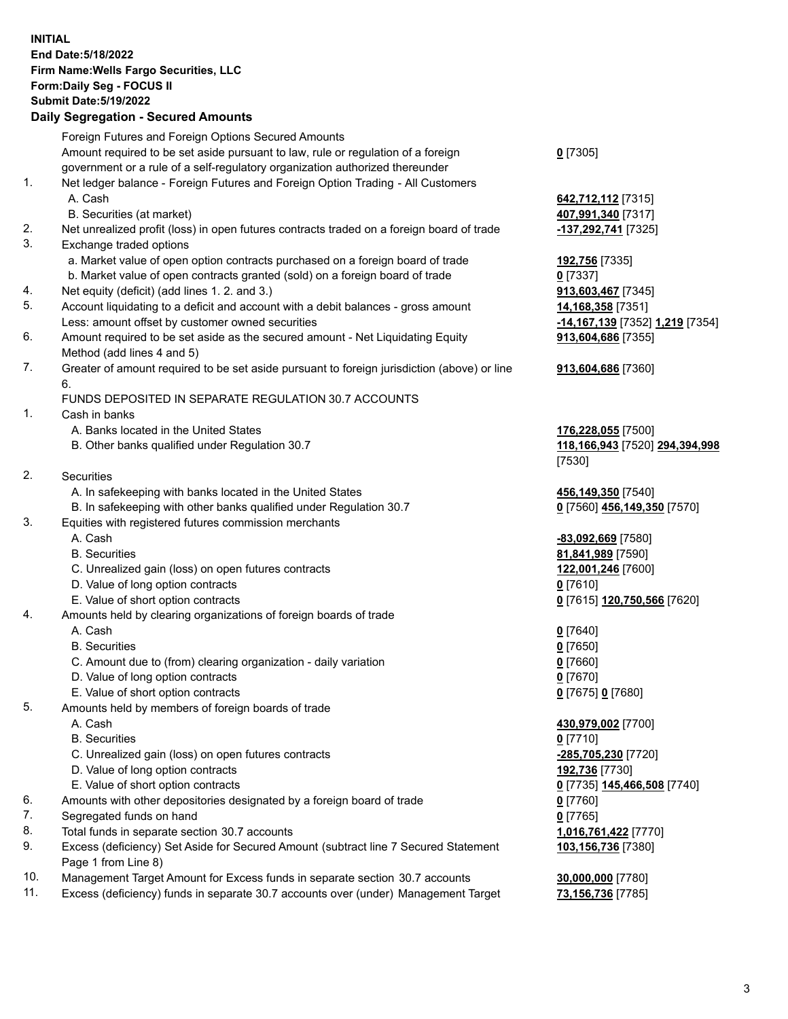**INITIAL End Date:5/18/2022 Firm Name:Wells Fargo Securities, LLC Form:Daily Seg - FOCUS II Submit Date:5/19/2022 Daily Segregation - Secured Amounts**

Foreign Futures and Foreign Options Secured Amounts Amount required to be set aside pursuant to law, rule or regulation of a foreign government or a rule of a self-regulatory organization authorized thereunder **0** [7305] 1. Net ledger balance - Foreign Futures and Foreign Option Trading - All Customers A. Cash **642,712,112** [7315] B. Securities (at market) **407,991,340** [7317] 2. Net unrealized profit (loss) in open futures contracts traded on a foreign board of trade **-137,292,741** [7325] 3. Exchange traded options a. Market value of open option contracts purchased on a foreign board of trade **192,756** [7335] b. Market value of open contracts granted (sold) on a foreign board of trade **0** [7337] 4. Net equity (deficit) (add lines 1. 2. and 3.) **913,603,467** [7345] 5. Account liquidating to a deficit and account with a debit balances - gross amount **14,168,358** [7351] Less: amount offset by customer owned securities **-14,167,139** [7352] **1,219** [7354] 6. Amount required to be set aside as the secured amount - Net Liquidating Equity Method (add lines 4 and 5) **913,604,686** [7355] 7. Greater of amount required to be set aside pursuant to foreign jurisdiction (above) or line 6. **913,604,686** [7360] FUNDS DEPOSITED IN SEPARATE REGULATION 30.7 ACCOUNTS 1. Cash in banks A. Banks located in the United States **176,228,055** [7500] B. Other banks qualified under Regulation 30.7 **118,166,943** [7520] **294,394,998** [7530] 2. Securities A. In safekeeping with banks located in the United States **456,149,350** [7540] B. In safekeeping with other banks qualified under Regulation 30.7 **0** [7560] **456,149,350** [7570] 3. Equities with registered futures commission merchants A. Cash **-83,092,669** [7580] B. Securities **81,841,989** [7590] C. Unrealized gain (loss) on open futures contracts **122,001,246** [7600] D. Value of long option contracts **0** [7610] E. Value of short option contracts **0** [7615] **120,750,566** [7620] 4. Amounts held by clearing organizations of foreign boards of trade A. Cash **0** [7640] B. Securities **0** [7650] C. Amount due to (from) clearing organization - daily variation **0** [7660] D. Value of long option contracts **0** [7670] E. Value of short option contracts **0** [7675] **0** [7680] 5. Amounts held by members of foreign boards of trade A. Cash **430,979,002** [7700] B. Securities **0** [7710] C. Unrealized gain (loss) on open futures contracts **-285,705,230** [7720] D. Value of long option contracts **192,736** [7730] E. Value of short option contracts **0** [7735] **145,466,508** [7740] 6. Amounts with other depositories designated by a foreign board of trade **0** [7760] 7. Segregated funds on hand **0** [7765] 8. Total funds in separate section 30.7 accounts **1,016,761,422** [7770] 9. Excess (deficiency) Set Aside for Secured Amount (subtract line 7 Secured Statement Page 1 from Line 8) **103,156,736** [7380]

- 10. Management Target Amount for Excess funds in separate section 30.7 accounts **30,000,000** [7780]
- 11. Excess (deficiency) funds in separate 30.7 accounts over (under) Management Target **73,156,736** [7785]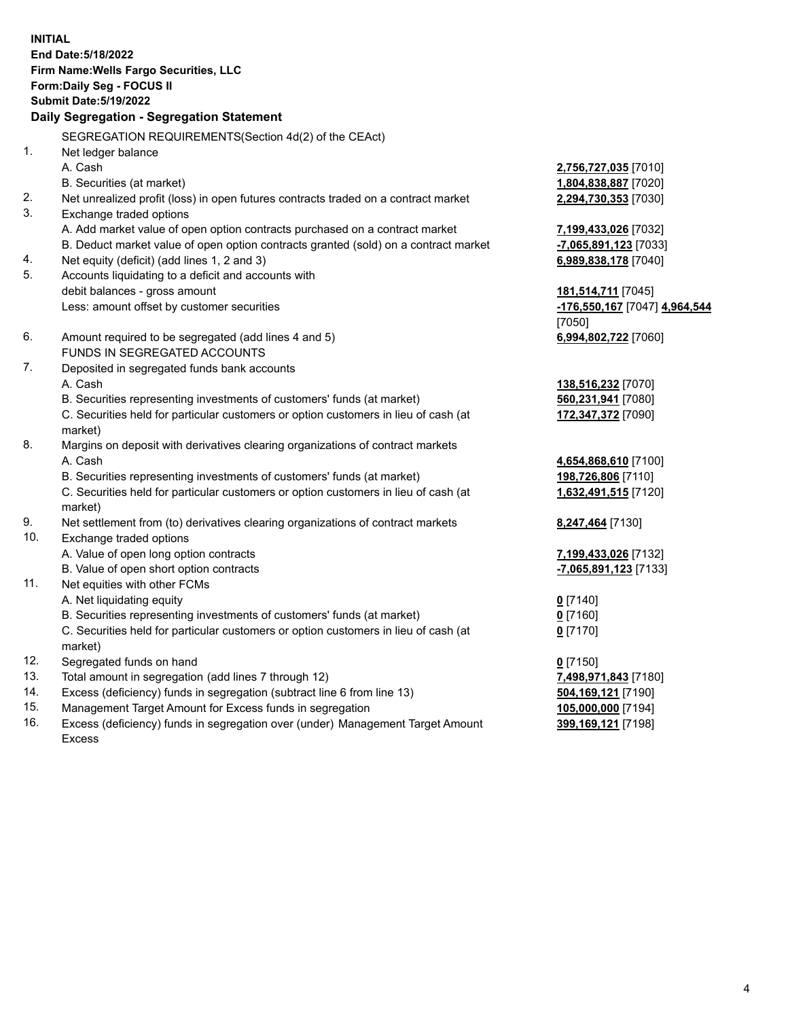**INITIAL End Date:5/18/2022 Firm Name:Wells Fargo Securities, LLC Form:Daily Seg - FOCUS II Submit Date:5/19/2022 Daily Segregation - Segregation Statement** SEGREGATION REQUIREMENTS(Section 4d(2) of the CEAct) 1. Net ledger balance A. Cash **2,756,727,035** [7010] B. Securities (at market) **1,804,838,887** [7020] 2. Net unrealized profit (loss) in open futures contracts traded on a contract market **2,294,730,353** [7030] 3. Exchange traded options A. Add market value of open option contracts purchased on a contract market **7,199,433,026** [7032] B. Deduct market value of open option contracts granted (sold) on a contract market **-7,065,891,123** [7033] 4. Net equity (deficit) (add lines 1, 2 and 3) **6,989,838,178** [7040] 5. Accounts liquidating to a deficit and accounts with debit balances - gross amount **181,514,711** [7045] Less: amount offset by customer securities **-176,550,167** [7047] **4,964,544** [7050] 6. Amount required to be segregated (add lines 4 and 5) **6,994,802,722** [7060] FUNDS IN SEGREGATED ACCOUNTS 7. Deposited in segregated funds bank accounts A. Cash **138,516,232** [7070] B. Securities representing investments of customers' funds (at market) **560,231,941** [7080] C. Securities held for particular customers or option customers in lieu of cash (at market) **172,347,372** [7090] 8. Margins on deposit with derivatives clearing organizations of contract markets A. Cash **4,654,868,610** [7100] B. Securities representing investments of customers' funds (at market) **198,726,806** [7110] C. Securities held for particular customers or option customers in lieu of cash (at market) **1,632,491,515** [7120] 9. Net settlement from (to) derivatives clearing organizations of contract markets **8,247,464** [7130] 10. Exchange traded options A. Value of open long option contracts **7,199,433,026** [7132]

- B. Value of open short option contracts **and the set of our original state of the set of open** short option contracts
- 11. Net equities with other FCMs
	- A. Net liquidating equity **0** [7140]
	- B. Securities representing investments of customers' funds (at market) **0** [7160]
	- C. Securities held for particular customers or option customers in lieu of cash (at market)
- 12. Segregated funds on hand **0** [7150]
- 13. Total amount in segregation (add lines 7 through 12) **7,498,971,843** [7180]
- 14. Excess (deficiency) funds in segregation (subtract line 6 from line 13) **504,169,121** [7190]
- 15. Management Target Amount for Excess funds in segregation **105,000,000** [7194]
- 16. Excess (deficiency) funds in segregation over (under) Management Target Amount Excess

**0** [7170]

**399,169,121** [7198]